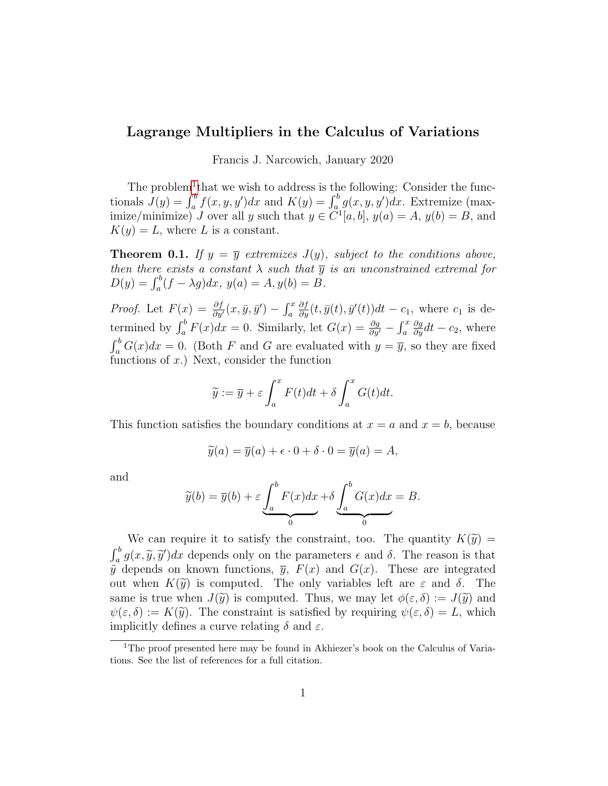## Lagrange Multipliers in the Calculus of Variations

Francis J. Narcowich, January 2020

The problem<sup>[1](#page-0-0)</sup> that we wish to address is the following: Consider the functionals  $J(y) = \int_a^b f(x, y, y')dx$  and  $K(y) = \int_a^b g(x, y, y')dx$ . Extremize (maximize/minimize) J over all y such that  $y \in \tilde{C}^1[a, b], y(a) = A, y(b) = B$ , and  $K(y) = L$ , where L is a constant.

**Theorem 0.1.** If  $y = \overline{y}$  extremizes  $J(y)$ , subject to the conditions above, then there exists a constant  $\lambda$  such that  $\overline{y}$  is an unconstrained extremal for  $D(y) = \int_a^b (f - \lambda g) dx$ ,  $y(a) = A$ ,  $y(b) = B$ .

*Proof.* Let  $F(x) = \frac{\partial f}{\partial y}(x, \bar{y}, \bar{y}') - \int_a^x$  $\frac{\partial f}{\partial y}(t, \bar{y}(t), \bar{y}'(t))dt - c_1$ , where  $c_1$  is determined by  $\int_a^b F(x)dx = 0$ . Similarly, let  $G(x) = \frac{\partial g}{\partial y'} - \int_a^x$  $\frac{\partial g}{\partial y}dt - c_2$ , where  $\int_a^b G(x)dx = 0$ . (Both F and G are evaluated with  $y = \overline{y}$ , so they are fixed functions of  $x$ .) Next, consider the function

$$
\widetilde{y} := \overline{y} + \varepsilon \int_a^x F(t)dt + \delta \int_a^x G(t)dt.
$$

This function satisfies the boundary conditions at  $x = a$  and  $x = b$ , because

$$
\widetilde{y}(a) = \overline{y}(a) + \epsilon \cdot 0 + \delta \cdot 0 = \overline{y}(a) = A,
$$

and

$$
\widetilde{y}(b) = \overline{y}(b) + \varepsilon \underbrace{\int_a^b F(x)dx}_{0} + \delta \underbrace{\int_a^b G(x)dx}_{0} = B.
$$

We can require it to satisfy the constraint, too. The quantity  $K(\tilde{y}) =$  $\int_a^b g(x, \tilde{y}, \tilde{y}') dx$  depends only on the parameters  $\epsilon$  and  $\delta$ . The reason is that  $\tilde{\epsilon}$  depends on linear functions  $\bar{v}$ ,  $F(x)$  and  $C(x)$ . These are integrated  $\tilde{y}$  depends on known functions,  $\overline{y}$ ,  $F(x)$  and  $G(x)$ . These are integrated out when  $K(\tilde{y})$  is computed. The only variables left are  $\varepsilon$  and  $\delta$ . The same is true when  $J(\tilde{y})$  is computed. Thus, we may let  $\phi(\varepsilon,\delta) := J(\tilde{y})$  and  $\psi(\varepsilon,\delta) := K(\widetilde{y})$ . The constraint is satisfied by requiring  $\psi(\varepsilon,\delta) = L$ , which implicitly defines a curve relating  $\delta$  and  $\varepsilon$ .

<span id="page-0-0"></span><sup>&</sup>lt;sup>1</sup>The proof presented here may be found in Akhiezer's book on the Calculus of Variations. See the list of references for a full citation.